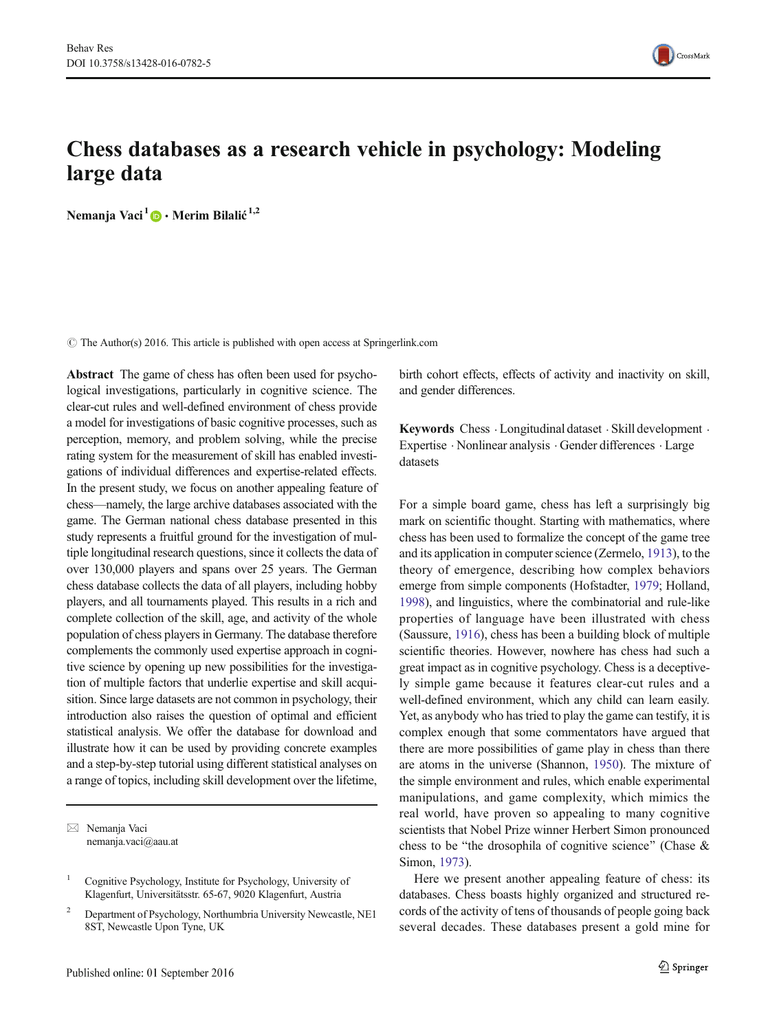

# Chess databases as a research vehicle in psychology: Modeling large data

Nemania Vaci<sup>1</sup>  $\bullet$  · Merim Bilalić<sup>1,2</sup>

 $\odot$  The Author(s) 2016. This article is published with open access at Springerlink.com

Abstract The game of chess has often been used for psychological investigations, particularly in cognitive science. The clear-cut rules and well-defined environment of chess provide a model for investigations of basic cognitive processes, such as perception, memory, and problem solving, while the precise rating system for the measurement of skill has enabled investigations of individual differences and expertise-related effects. In the present study, we focus on another appealing feature of chess—namely, the large archive databases associated with the game. The German national chess database presented in this study represents a fruitful ground for the investigation of multiple longitudinal research questions, since it collects the data of over 130,000 players and spans over 25 years. The German chess database collects the data of all players, including hobby players, and all tournaments played. This results in a rich and complete collection of the skill, age, and activity of the whole population of chess players in Germany. The database therefore complements the commonly used expertise approach in cognitive science by opening up new possibilities for the investigation of multiple factors that underlie expertise and skill acquisition. Since large datasets are not common in psychology, their introduction also raises the question of optimal and efficient statistical analysis. We offer the database for download and illustrate how it can be used by providing concrete examples and a step-by-step tutorial using different statistical analyses on a range of topics, including skill development over the lifetime,

 $\boxtimes$  Nemanja Vaci nemanja.vaci@aau.at

<sup>2</sup> Department of Psychology, Northumbria University Newcastle, NE1 8ST, Newcastle Upon Tyne, UK

birth cohort effects, effects of activity and inactivity on skill, and gender differences.

Keywords Chess . Longitudinal dataset . Skill development . Expertise . Nonlinear analysis . Gender differences . Large datasets

For a simple board game, chess has left a surprisingly big mark on scientific thought. Starting with mathematics, where chess has been used to formalize the concept of the game tree and its application in computer science (Zermelo, [1913\)](#page-13-0), to the theory of emergence, describing how complex behaviors emerge from simple components (Hofstadter, [1979](#page-12-0); Holland, [1998\)](#page-12-0), and linguistics, where the combinatorial and rule-like properties of language have been illustrated with chess (Saussure, [1916](#page-13-0)), chess has been a building block of multiple scientific theories. However, nowhere has chess had such a great impact as in cognitive psychology. Chess is a deceptively simple game because it features clear-cut rules and a well-defined environment, which any child can learn easily. Yet, as anybody who has tried to play the game can testify, it is complex enough that some commentators have argued that there are more possibilities of game play in chess than there are atoms in the universe (Shannon, [1950](#page-13-0)). The mixture of the simple environment and rules, which enable experimental manipulations, and game complexity, which mimics the real world, have proven so appealing to many cognitive scientists that Nobel Prize winner Herbert Simon pronounced chess to be "the drosophila of cognitive science" (Chase  $\&$ Simon, [1973](#page-11-0)).

Here we present another appealing feature of chess: its databases. Chess boasts highly organized and structured records of the activity of tens of thousands of people going back several decades. These databases present a gold mine for

<sup>&</sup>lt;sup>1</sup> Cognitive Psychology, Institute for Psychology, University of Klagenfurt, Universitätsstr. 65-67, 9020 Klagenfurt, Austria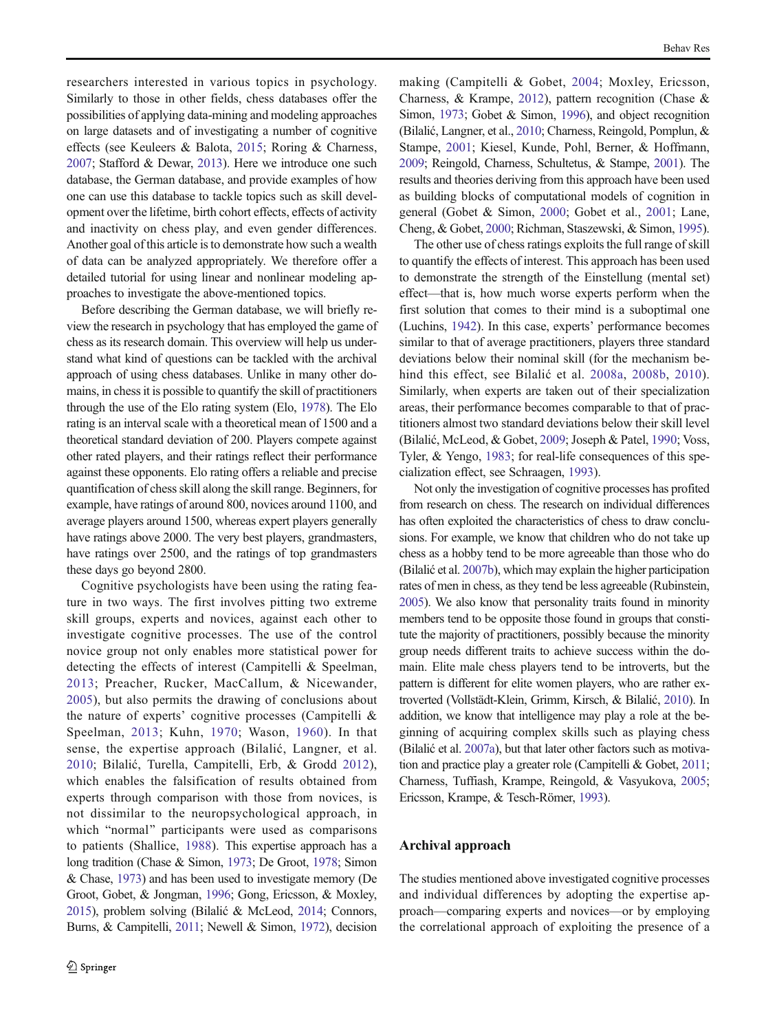researchers interested in various topics in psychology. Similarly to those in other fields, chess databases offer the possibilities of applying data-mining and modeling approaches on large datasets and of investigating a number of cognitive effects (see Keuleers & Balota, [2015;](#page-12-0) Roring & Charness, [2007](#page-13-0); Stafford & Dewar, [2013\)](#page-13-0). Here we introduce one such database, the German database, and provide examples of how one can use this database to tackle topics such as skill development over the lifetime, birth cohort effects, effects of activity and inactivity on chess play, and even gender differences. Another goal of this article is to demonstrate how such a wealth of data can be analyzed appropriately. We therefore offer a detailed tutorial for using linear and nonlinear modeling approaches to investigate the above-mentioned topics.

Before describing the German database, we will briefly review the research in psychology that has employed the game of chess as its research domain. This overview will help us understand what kind of questions can be tackled with the archival approach of using chess databases. Unlike in many other domains, in chess it is possible to quantify the skill of practitioners through the use of the Elo rating system (Elo, [1978\)](#page-12-0). The Elo rating is an interval scale with a theoretical mean of 1500 and a theoretical standard deviation of 200. Players compete against other rated players, and their ratings reflect their performance against these opponents. Elo rating offers a reliable and precise quantification of chess skill along the skill range. Beginners, for example, have ratings of around 800, novices around 1100, and average players around 1500, whereas expert players generally have ratings above 2000. The very best players, grandmasters, have ratings over 2500, and the ratings of top grandmasters these days go beyond 2800.

Cognitive psychologists have been using the rating feature in two ways. The first involves pitting two extreme skill groups, experts and novices, against each other to investigate cognitive processes. The use of the control novice group not only enables more statistical power for detecting the effects of interest (Campitelli & Speelman, [2013;](#page-11-0) Preacher, Rucker, MacCallum, & Nicewander, [2005](#page-12-0)), but also permits the drawing of conclusions about the nature of experts' cognitive processes (Campitelli & Speelman, [2013](#page-11-0); Kuhn, [1970;](#page-12-0) Wason, [1960](#page-13-0)). In that sense, the expertise approach (Bilalić, Langner, et al. [2010](#page-11-0); Bilalić, Turella, Campitelli, Erb, & Grodd [2012](#page-11-0)), which enables the falsification of results obtained from experts through comparison with those from novices, is not dissimilar to the neuropsychological approach, in which "normal" participants were used as comparisons to patients (Shallice, [1988](#page-13-0)). This expertise approach has a long tradition (Chase & Simon, [1973](#page-11-0); De Groot, [1978;](#page-11-0) Simon & Chase, [1973\)](#page-13-0) and has been used to investigate memory (De Groot, Gobet, & Jongman, [1996;](#page-12-0) Gong, Ericsson, & Moxley, [2015](#page-12-0)), problem solving (Bilalić & McLeod, [2014;](#page-11-0) Connors, Burns, & Campitelli, [2011](#page-11-0); Newell & Simon, [1972](#page-12-0)), decision making (Campitelli & Gobet, [2004](#page-11-0); Moxley, Ericsson, Charness, & Krampe, [2012](#page-12-0)), pattern recognition (Chase & Simon, [1973;](#page-11-0) Gobet & Simon, [1996](#page-12-0)), and object recognition (Bilalić, Langner, et al., [2010](#page-11-0); Charness, Reingold, Pomplun, & Stampe, [2001;](#page-11-0) Kiesel, Kunde, Pohl, Berner, & Hoffmann, [2009](#page-12-0); Reingold, Charness, Schultetus, & Stampe, [2001\)](#page-12-0). The results and theories deriving from this approach have been used as building blocks of computational models of cognition in general (Gobet & Simon, [2000;](#page-12-0) Gobet et al., [2001](#page-12-0); Lane, Cheng, & Gobet, [2000;](#page-12-0) Richman, Staszewski, & Simon, [1995\)](#page-13-0).

The other use of chess ratings exploits the full range of skill to quantify the effects of interest. This approach has been used to demonstrate the strength of the Einstellung (mental set) effect—that is, how much worse experts perform when the first solution that comes to their mind is a suboptimal one (Luchins, [1942\)](#page-12-0). In this case, experts' performance becomes similar to that of average practitioners, players three standard deviations below their nominal skill (for the mechanism behind this effect, see Bilalić et al. [2008a,](#page-11-0) [2008b,](#page-11-0) [2010](#page-11-0)). Similarly, when experts are taken out of their specialization areas, their performance becomes comparable to that of practitioners almost two standard deviations below their skill level (Bilalić, McLeod, & Gobet, [2009;](#page-11-0) Joseph & Patel, [1990;](#page-12-0) Voss, Tyler, & Yengo, [1983;](#page-13-0) for real-life consequences of this specialization effect, see Schraagen, [1993](#page-13-0)).

Not only the investigation of cognitive processes has profited from research on chess. The research on individual differences has often exploited the characteristics of chess to draw conclusions. For example, we know that children who do not take up chess as a hobby tend to be more agreeable than those who do (Bilalić et al. [2007b\)](#page-11-0), which may explain the higher participation rates of men in chess, as they tend be less agreeable (Rubinstein, [2005](#page-13-0)). We also know that personality traits found in minority members tend to be opposite those found in groups that constitute the majority of practitioners, possibly because the minority group needs different traits to achieve success within the domain. Elite male chess players tend to be introverts, but the pattern is different for elite women players, who are rather extroverted (Vollstädt-Klein, Grimm, Kirsch, & Bilalić, [2010](#page-13-0)). In addition, we know that intelligence may play a role at the beginning of acquiring complex skills such as playing chess (Bilalić et al. [2007a](#page-11-0)), but that later other factors such as motivation and practice play a greater role (Campitelli & Gobet, [2011;](#page-11-0) Charness, Tuffiash, Krampe, Reingold, & Vasyukova, [2005;](#page-11-0) Ericsson, Krampe, & Tesch-Römer, [1993\)](#page-12-0).

## Archival approach

The studies mentioned above investigated cognitive processes and individual differences by adopting the expertise approach—comparing experts and novices—or by employing the correlational approach of exploiting the presence of a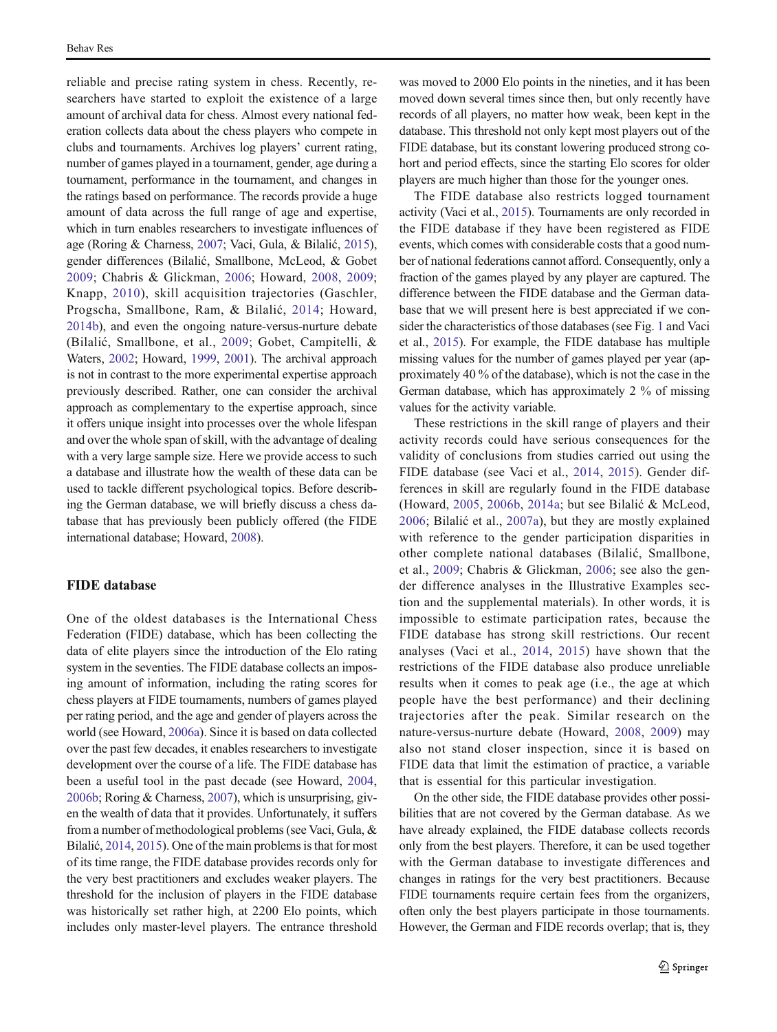reliable and precise rating system in chess. Recently, researchers have started to exploit the existence of a large amount of archival data for chess. Almost every national federation collects data about the chess players who compete in clubs and tournaments. Archives log players' current rating, number of games played in a tournament, gender, age during a tournament, performance in the tournament, and changes in the ratings based on performance. The records provide a huge amount of data across the full range of age and expertise, which in turn enables researchers to investigate influences of age (Roring & Charness, [2007;](#page-13-0) Vaci, Gula, & Bilalić, [2015\)](#page-13-0), gender differences (Bilalić, Smallbone, McLeod, & Gobet [2009;](#page-11-0) Chabris & Glickman, [2006;](#page-11-0) Howard, [2008](#page-12-0), [2009](#page-12-0); Knapp, [2010\)](#page-12-0), skill acquisition trajectories (Gaschler, Progscha, Smallbone, Ram, & Bilalić, [2014](#page-12-0); Howard, [2014b\)](#page-12-0), and even the ongoing nature-versus-nurture debate (Bilalić, Smallbone, et al., [2009;](#page-11-0) Gobet, Campitelli, & Waters, [2002](#page-12-0); Howard, [1999](#page-12-0), [2001](#page-12-0)). The archival approach is not in contrast to the more experimental expertise approach previously described. Rather, one can consider the archival approach as complementary to the expertise approach, since it offers unique insight into processes over the whole lifespan and over the whole span of skill, with the advantage of dealing with a very large sample size. Here we provide access to such a database and illustrate how the wealth of these data can be used to tackle different psychological topics. Before describing the German database, we will briefly discuss a chess database that has previously been publicly offered (the FIDE international database; Howard, [2008\)](#page-12-0).

# FIDE database

One of the oldest databases is the International Chess Federation (FIDE) database, which has been collecting the data of elite players since the introduction of the Elo rating system in the seventies. The FIDE database collects an imposing amount of information, including the rating scores for chess players at FIDE tournaments, numbers of games played per rating period, and the age and gender of players across the world (see Howard, [2006a](#page-12-0)). Since it is based on data collected over the past few decades, it enables researchers to investigate development over the course of a life. The FIDE database has been a useful tool in the past decade (see Howard, [2004,](#page-12-0) [2006b](#page-12-0); Roring & Charness, [2007\)](#page-13-0), which is unsurprising, given the wealth of data that it provides. Unfortunately, it suffers from a number of methodological problems (see Vaci, Gula, & Bilalić, [2014](#page-13-0), [2015](#page-13-0)). One of the main problems is that for most of its time range, the FIDE database provides records only for the very best practitioners and excludes weaker players. The threshold for the inclusion of players in the FIDE database was historically set rather high, at 2200 Elo points, which includes only master-level players. The entrance threshold

was moved to 2000 Elo points in the nineties, and it has been moved down several times since then, but only recently have records of all players, no matter how weak, been kept in the database. This threshold not only kept most players out of the FIDE database, but its constant lowering produced strong cohort and period effects, since the starting Elo scores for older players are much higher than those for the younger ones.

The FIDE database also restricts logged tournament activity (Vaci et al., [2015](#page-13-0)). Tournaments are only recorded in the FIDE database if they have been registered as FIDE events, which comes with considerable costs that a good number of national federations cannot afford. Consequently, only a fraction of the games played by any player are captured. The difference between the FIDE database and the German database that we will present here is best appreciated if we consider the characteristics of those databases (see Fig. [1](#page-3-0) and Vaci et al., [2015\)](#page-13-0). For example, the FIDE database has multiple missing values for the number of games played per year (approximately 40 % of the database), which is not the case in the German database, which has approximately 2 % of missing values for the activity variable.

These restrictions in the skill range of players and their activity records could have serious consequences for the validity of conclusions from studies carried out using the FIDE database (see Vaci et al., [2014](#page-13-0), [2015\)](#page-13-0). Gender differences in skill are regularly found in the FIDE database (Howard, [2005,](#page-12-0) [2006b,](#page-12-0) [2014a](#page-12-0); but see Bilalić & McLeod, [2006](#page-11-0); Bilalić et al., [2007a](#page-11-0)), but they are mostly explained with reference to the gender participation disparities in other complete national databases (Bilalić, Smallbone, et al., [2009](#page-11-0); Chabris & Glickman, [2006;](#page-11-0) see also the gender difference analyses in the Illustrative Examples section and the supplemental materials). In other words, it is impossible to estimate participation rates, because the FIDE database has strong skill restrictions. Our recent analyses (Vaci et al., [2014](#page-13-0), [2015\)](#page-13-0) have shown that the restrictions of the FIDE database also produce unreliable results when it comes to peak age (i.e., the age at which people have the best performance) and their declining trajectories after the peak. Similar research on the nature-versus-nurture debate (Howard, [2008,](#page-12-0) [2009](#page-12-0)) may also not stand closer inspection, since it is based on FIDE data that limit the estimation of practice, a variable that is essential for this particular investigation.

On the other side, the FIDE database provides other possibilities that are not covered by the German database. As we have already explained, the FIDE database collects records only from the best players. Therefore, it can be used together with the German database to investigate differences and changes in ratings for the very best practitioners. Because FIDE tournaments require certain fees from the organizers, often only the best players participate in those tournaments. However, the German and FIDE records overlap; that is, they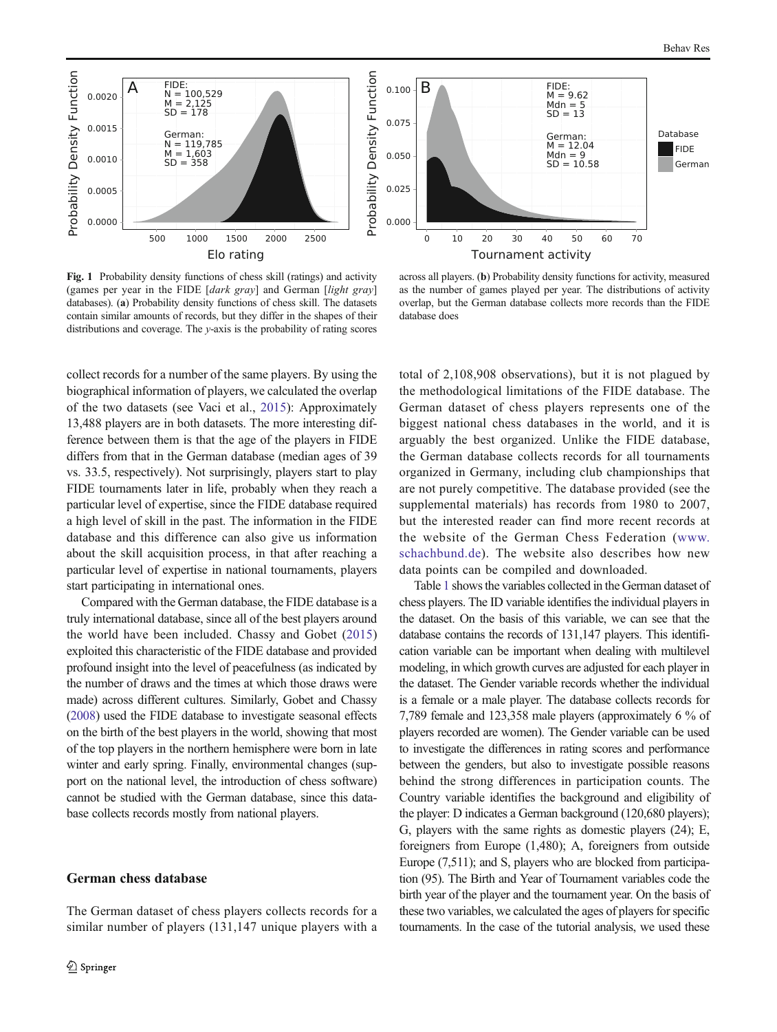<span id="page-3-0"></span>

Fig. 1 Probability density functions of chess skill (ratings) and activity (games per year in the FIDE [dark gray] and German [light gray] databases). (a) Probability density functions of chess skill. The datasets contain similar amounts of records, but they differ in the shapes of their distributions and coverage. The y-axis is the probability of rating scores

across all players. (b) Probability density functions for activity, measured as the number of games played per year. The distributions of activity overlap, but the German database collects more records than the FIDE database does

collect records for a number of the same players. By using the biographical information of players, we calculated the overlap of the two datasets (see Vaci et al., [2015\)](#page-13-0): Approximately 13,488 players are in both datasets. The more interesting difference between them is that the age of the players in FIDE differs from that in the German database (median ages of 39 vs. 33.5, respectively). Not surprisingly, players start to play FIDE tournaments later in life, probably when they reach a particular level of expertise, since the FIDE database required a high level of skill in the past. The information in the FIDE database and this difference can also give us information about the skill acquisition process, in that after reaching a particular level of expertise in national tournaments, players start participating in international ones.

Compared with the German database, the FIDE database is a truly international database, since all of the best players around the world have been included. Chassy and Gobet ([2015\)](#page-11-0) exploited this characteristic of the FIDE database and provided profound insight into the level of peacefulness (as indicated by the number of draws and the times at which those draws were made) across different cultures. Similarly, Gobet and Chassy [\(2008](#page-12-0)) used the FIDE database to investigate seasonal effects on the birth of the best players in the world, showing that most of the top players in the northern hemisphere were born in late winter and early spring. Finally, environmental changes (support on the national level, the introduction of chess software) cannot be studied with the German database, since this database collects records mostly from national players.

## German chess database

The German dataset of chess players collects records for a similar number of players (131,147 unique players with a total of 2,108,908 observations), but it is not plagued by the methodological limitations of the FIDE database. The German dataset of chess players represents one of the biggest national chess databases in the world, and it is arguably the best organized. Unlike the FIDE database, the German database collects records for all tournaments organized in Germany, including club championships that are not purely competitive. The database provided (see the supplemental materials) has records from 1980 to 2007, but the interested reader can find more recent records at the website of the German Chess Federation ([www.](http://www.schachbund.de/) [schachbund.de](http://www.schachbund.de/)). The website also describes how new data points can be compiled and downloaded.

Table [1](#page-4-0) shows the variables collected in the German dataset of chess players. The ID variable identifies the individual players in the dataset. On the basis of this variable, we can see that the database contains the records of 131,147 players. This identification variable can be important when dealing with multilevel modeling, in which growth curves are adjusted for each player in the dataset. The Gender variable records whether the individual is a female or a male player. The database collects records for 7,789 female and 123,358 male players (approximately 6 % of players recorded are women). The Gender variable can be used to investigate the differences in rating scores and performance between the genders, but also to investigate possible reasons behind the strong differences in participation counts. The Country variable identifies the background and eligibility of the player: D indicates a German background (120,680 players); G, players with the same rights as domestic players (24); E, foreigners from Europe (1,480); A, foreigners from outside Europe (7,511); and S, players who are blocked from participation (95). The Birth and Year of Tournament variables code the birth year of the player and the tournament year. On the basis of these two variables, we calculated the ages of players for specific tournaments. In the case of the tutorial analysis, we used these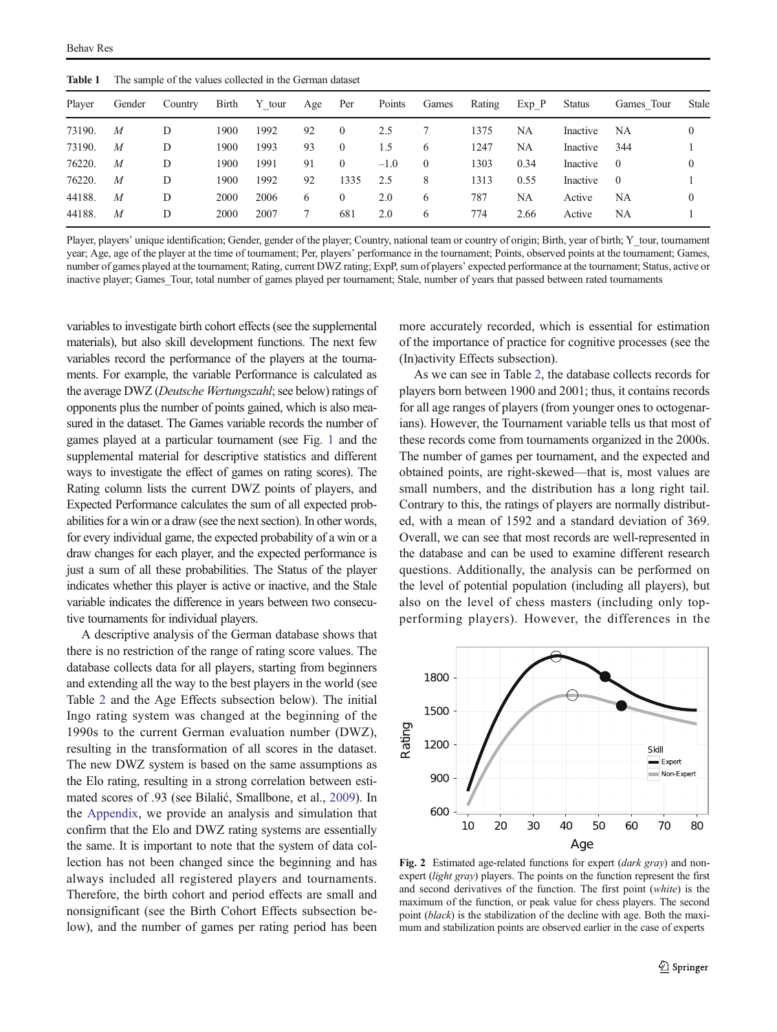| Tavie 1 | The sample of the values conceted in the Ociman dataset |         |       |        |     |              |        |          |        |       |               |                |              |
|---------|---------------------------------------------------------|---------|-------|--------|-----|--------------|--------|----------|--------|-------|---------------|----------------|--------------|
| Player  | Gender                                                  | Country | Birth | Y tour | Age | Per          | Points | Games    | Rating | Exp P | <b>Status</b> | Games Tour     | <b>Stale</b> |
| 73190.  | M                                                       | D       | 1900  | 1992   | 92  | $\mathbf{0}$ | 2.5    |          | 1375   | NA    | Inactive      | NA             | 0            |
| 73190.  | M                                                       | D       | 1900  | 1993   | 93  | $\mathbf{0}$ | 1.5    | 6        | 1247   | NA    | Inactive      | 344            |              |
| 76220.  | $\overline{M}$                                          | D       | 1900  | 1991   | 91  | $\mathbf{0}$ | $-1.0$ | $\Omega$ | 1303   | 0.34  | Inactive      | $\overline{0}$ | $\theta$     |
| 76220.  | $\overline{M}$                                          | D       | 1900  | 1992   | 92  | 1335         | 2.5    | 8        | 1313   | 0.55  | Inactive      | $\overline{0}$ |              |
| 44188.  | M                                                       | D       | 2000  | 2006   | 6   | $\mathbf{0}$ | 2.0    | 6        | 787    | NA    | Active        | NA             | $\theta$     |
| 44188.  | M                                                       | D       | 2000  | 2007   |     | 681          | 2.0    | 6        | 774    | 2.66  | Active        | NA             |              |
|         |                                                         |         |       |        |     |              |        |          |        |       |               |                |              |

Player, players' unique identification; Gender, gender of the player; Country, national team or country of origin; Birth, year of birth; Y\_tour, tournament year; Age, age of the player at the time of tournament; Per, players' performance in the tournament; Points, observed points at the tournament; Games, number of games played at the tournament; Rating, current DWZ rating; ExpP, sum of players' expected performance at the tournament; Status, active or inactive player; Games Tour, total number of games played per tournament; Stale, number of years that passed between rated tournaments

variables to investigate birth cohort effects (see the supplemental materials), but also skill development functions. The next few variables record the performance of the players at the tournaments. For example, the variable Performance is calculated as the average DWZ (Deutsche Wertungszahl; see below) ratings of opponents plus the number of points gained, which is also measured in the dataset. The Games variable records the number of games played at a particular tournament (see Fig. [1](#page-3-0) and the supplemental material for descriptive statistics and different ways to investigate the effect of games on rating scores). The Rating column lists the current DWZ points of players, and Expected Performance calculates the sum of all expected probabilities for a win or a draw (see the next section). In other words, for every individual game, the expected probability of a win or a draw changes for each player, and the expected performance is just a sum of all these probabilities. The Status of the player indicates whether this player is active or inactive, and the Stale variable indicates the difference in years between two consecutive tournaments for individual players.

<span id="page-4-0"></span>Table 1 The sample of the values collected in the German dataset

A descriptive analysis of the German database shows that there is no restriction of the range of rating score values. The database collects data for all players, starting from beginners and extending all the way to the best players in the world (see Table [2](#page-5-0) and the Age Effects subsection below). The initial Ingo rating system was changed at the beginning of the 1990s to the current German evaluation number (DWZ), resulting in the transformation of all scores in the dataset. The new DWZ system is based on the same assumptions as the Elo rating, resulting in a strong correlation between estimated scores of .93 (see Bilalić, Smallbone, et al., [2009](#page-11-0)). In the [Appendix](#page-10-0), we provide an analysis and simulation that confirm that the Elo and DWZ rating systems are essentially the same. It is important to note that the system of data collection has not been changed since the beginning and has always included all registered players and tournaments. Therefore, the birth cohort and period effects are small and nonsignificant (see the Birth Cohort Effects subsection below), and the number of games per rating period has been more accurately recorded, which is essential for estimation of the importance of practice for cognitive processes (see the (In)activity Effects subsection).

As we can see in Table [2,](#page-5-0) the database collects records for players born between 1900 and 2001; thus, it contains records for all age ranges of players (from younger ones to octogenarians). However, the Tournament variable tells us that most of these records come from tournaments organized in the 2000s. The number of games per tournament, and the expected and obtained points, are right-skewed—that is, most values are small numbers, and the distribution has a long right tail. Contrary to this, the ratings of players are normally distributed, with a mean of 1592 and a standard deviation of 369. Overall, we can see that most records are well-represented in the database and can be used to examine different research questions. Additionally, the analysis can be performed on the level of potential population (including all players), but also on the level of chess masters (including only topperforming players). However, the differences in the



Fig. 2 Estimated age-related functions for expert *(dark gray)* and nonexpert (light gray) players. The points on the function represent the first and second derivatives of the function. The first point (white) is the maximum of the function, or peak value for chess players. The second point (black) is the stabilization of the decline with age. Both the maximum and stabilization points are observed earlier in the case of experts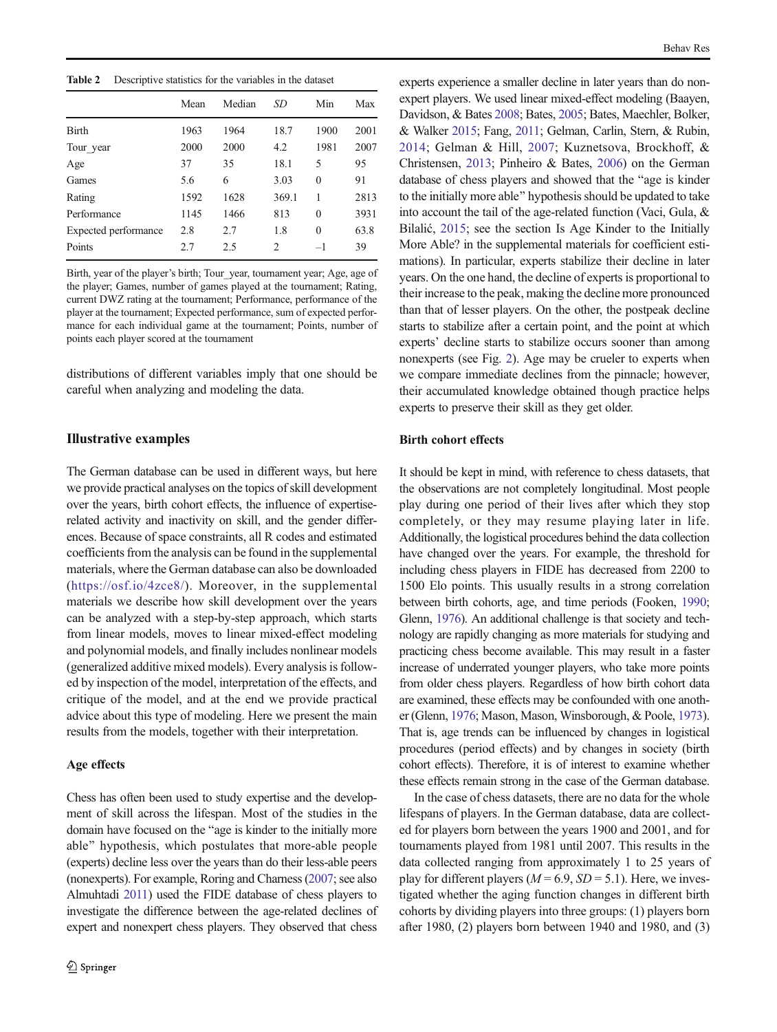<span id="page-5-0"></span>

| Descriptive statistics for the variables in the dataset<br><b>Table 2</b> |  |  |  |  |  |
|---------------------------------------------------------------------------|--|--|--|--|--|
|---------------------------------------------------------------------------|--|--|--|--|--|

|                      | Mean | Median | SD             | Min      | Max  |
|----------------------|------|--------|----------------|----------|------|
| Birth                | 1963 | 1964   | 18.7           | 1900     | 2001 |
| Tour year            | 2000 | 2000   | 4.2            | 1981     | 2007 |
| Age                  | 37   | 35     | 18.1           | 5        | 95   |
| Games                | 5.6  | 6      | 3.03           | $\theta$ | 91   |
| Rating               | 1592 | 1628   | 369.1          | 1        | 2813 |
| Performance          | 1145 | 1466   | 813            | $\theta$ | 3931 |
| Expected performance | 2.8  | 2.7    | 1.8            | $\theta$ | 63.8 |
| Points               | 2.7  | 2.5    | $\mathfrak{D}$ | $-1$     | 39   |

Birth, year of the player's birth; Tour\_year, tournament year; Age, age of the player; Games, number of games played at the tournament; Rating, current DWZ rating at the tournament; Performance, performance of the player at the tournament; Expected performance, sum of expected performance for each individual game at the tournament; Points, number of points each player scored at the tournament

distributions of different variables imply that one should be careful when analyzing and modeling the data.

## Illustrative examples

The German database can be used in different ways, but here we provide practical analyses on the topics of skill development over the years, birth cohort effects, the influence of expertiserelated activity and inactivity on skill, and the gender differences. Because of space constraints, all R codes and estimated coefficients from the analysis can be found in the supplemental materials, where the German database can also be downloaded ([https://osf.io/4zce8/\)](https://osf.io/4zce8/). Moreover, in the supplemental materials we describe how skill development over the years can be analyzed with a step-by-step approach, which starts from linear models, moves to linear mixed-effect modeling and polynomial models, and finally includes nonlinear models (generalized additive mixed models). Every analysis is followed by inspection of the model, interpretation of the effects, and critique of the model, and at the end we provide practical advice about this type of modeling. Here we present the main results from the models, together with their interpretation.

#### Age effects

Chess has often been used to study expertise and the development of skill across the lifespan. Most of the studies in the domain have focused on the "age is kinder to the initially more able" hypothesis, which postulates that more-able people (experts) decline less over the years than do their less-able peers (nonexperts). For example, Roring and Charness ([2007;](#page-13-0) see also Almuhtadi [2011](#page-11-0)) used the FIDE database of chess players to investigate the difference between the age-related declines of expert and nonexpert chess players. They observed that chess

experts experience a smaller decline in later years than do nonexpert players. We used linear mixed-effect modeling (Baayen, Davidson, & Bates [2008](#page-11-0); Bates, [2005](#page-11-0); Bates, Maechler, Bolker, & Walker [2015;](#page-11-0) Fang, [2011;](#page-12-0) Gelman, Carlin, Stern, & Rubin, [2014;](#page-12-0) Gelman & Hill, [2007](#page-12-0); Kuznetsova, Brockhoff, & Christensen, [2013;](#page-12-0) Pinheiro & Bates, [2006](#page-12-0)) on the German database of chess players and showed that the "age is kinder to the initially more able^ hypothesis should be updated to take into account the tail of the age-related function (Vaci, Gula, & Bilalić, [2015](#page-13-0); see the section Is Age Kinder to the Initially More Able? in the supplemental materials for coefficient estimations). In particular, experts stabilize their decline in later years. On the one hand, the decline of experts is proportional to their increase to the peak, making the decline more pronounced than that of lesser players. On the other, the postpeak decline starts to stabilize after a certain point, and the point at which experts' decline starts to stabilize occurs sooner than among nonexperts (see Fig. [2\)](#page-4-0). Age may be crueler to experts when we compare immediate declines from the pinnacle; however, their accumulated knowledge obtained though practice helps experts to preserve their skill as they get older.

#### Birth cohort effects

It should be kept in mind, with reference to chess datasets, that the observations are not completely longitudinal. Most people play during one period of their lives after which they stop completely, or they may resume playing later in life. Additionally, the logistical procedures behind the data collection have changed over the years. For example, the threshold for including chess players in FIDE has decreased from 2200 to 1500 Elo points. This usually results in a strong correlation between birth cohorts, age, and time periods (Fooken, [1990;](#page-12-0) Glenn, [1976](#page-12-0)). An additional challenge is that society and technology are rapidly changing as more materials for studying and practicing chess become available. This may result in a faster increase of underrated younger players, who take more points from older chess players. Regardless of how birth cohort data are examined, these effects may be confounded with one another (Glenn, [1976;](#page-12-0) Mason, Mason, Winsborough, & Poole, [1973\)](#page-12-0). That is, age trends can be influenced by changes in logistical procedures (period effects) and by changes in society (birth cohort effects). Therefore, it is of interest to examine whether these effects remain strong in the case of the German database.

In the case of chess datasets, there are no data for the whole lifespans of players. In the German database, data are collected for players born between the years 1900 and 2001, and for tournaments played from 1981 until 2007. This results in the data collected ranging from approximately 1 to 25 years of play for different players ( $M = 6.9$ ,  $SD = 5.1$ ). Here, we investigated whether the aging function changes in different birth cohorts by dividing players into three groups: (1) players born after 1980, (2) players born between 1940 and 1980, and (3)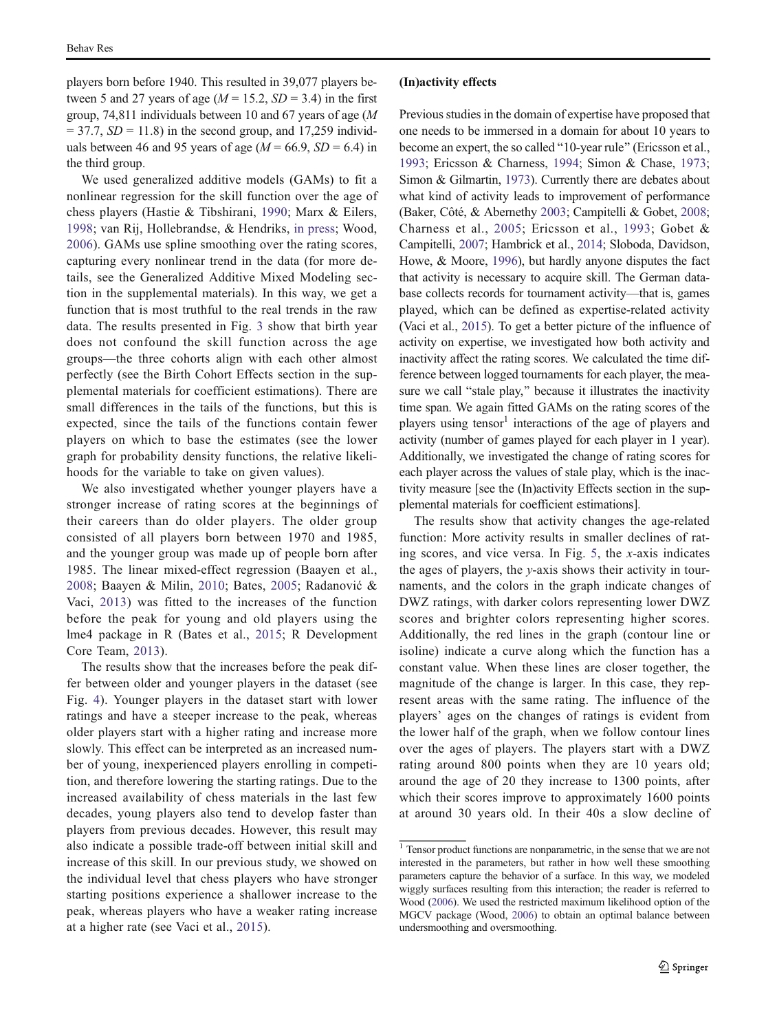players born before 1940. This resulted in 39,077 players between 5 and 27 years of age ( $M = 15.2$ ,  $SD = 3.4$ ) in the first group, 74,811 individuals between 10 and 67 years of age (M  $= 37.7$ ,  $SD = 11.8$ ) in the second group, and 17,259 individuals between 46 and 95 years of age ( $M = 66.9$ ,  $SD = 6.4$ ) in the third group.

We used generalized additive models (GAMs) to fit a nonlinear regression for the skill function over the age of chess players (Hastie & Tibshirani, [1990](#page-12-0); Marx & Eilers, [1998](#page-12-0); van Rij, Hollebrandse, & Hendriks, [in press;](#page-13-0) Wood, [2006](#page-13-0)). GAMs use spline smoothing over the rating scores, capturing every nonlinear trend in the data (for more details, see the Generalized Additive Mixed Modeling section in the supplemental materials). In this way, we get a function that is most truthful to the real trends in the raw data. The results presented in Fig. [3](#page-7-0) show that birth year does not confound the skill function across the age groups—the three cohorts align with each other almost perfectly (see the Birth Cohort Effects section in the supplemental materials for coefficient estimations). There are small differences in the tails of the functions, but this is expected, since the tails of the functions contain fewer players on which to base the estimates (see the lower graph for probability density functions, the relative likelihoods for the variable to take on given values).

We also investigated whether younger players have a stronger increase of rating scores at the beginnings of their careers than do older players. The older group consisted of all players born between 1970 and 1985, and the younger group was made up of people born after 1985. The linear mixed-effect regression (Baayen et al., [2008](#page-11-0); Baayen & Milin, [2010](#page-11-0); Bates, [2005;](#page-11-0) Radanović & Vaci, [2013](#page-12-0)) was fitted to the increases of the function before the peak for young and old players using the lme4 package in R (Bates et al., [2015](#page-11-0); R Development Core Team, [2013\)](#page-12-0).

The results show that the increases before the peak differ between older and younger players in the dataset (see Fig. [4\)](#page-7-0). Younger players in the dataset start with lower ratings and have a steeper increase to the peak, whereas older players start with a higher rating and increase more slowly. This effect can be interpreted as an increased number of young, inexperienced players enrolling in competition, and therefore lowering the starting ratings. Due to the increased availability of chess materials in the last few decades, young players also tend to develop faster than players from previous decades. However, this result may also indicate a possible trade-off between initial skill and increase of this skill. In our previous study, we showed on the individual level that chess players who have stronger starting positions experience a shallower increase to the peak, whereas players who have a weaker rating increase at a higher rate (see Vaci et al., [2015\)](#page-13-0).

#### (In)activity effects

Previous studies in the domain of expertise have proposed that one needs to be immersed in a domain for about 10 years to become an expert, the so called "10-year rule" (Ericsson et al., [1993](#page-12-0); Ericsson & Charness, [1994;](#page-12-0) Simon & Chase, [1973;](#page-13-0) Simon & Gilmartin, [1973\)](#page-13-0). Currently there are debates about what kind of activity leads to improvement of performance (Baker, Côté, & Abernethy [2003](#page-11-0); Campitelli & Gobet, [2008;](#page-11-0) Charness et al., [2005](#page-11-0); Ericsson et al., [1993](#page-12-0); Gobet & Campitelli, [2007;](#page-12-0) Hambrick et al., [2014](#page-12-0); Sloboda, Davidson, Howe, & Moore, [1996\)](#page-13-0), but hardly anyone disputes the fact that activity is necessary to acquire skill. The German database collects records for tournament activity—that is, games played, which can be defined as expertise-related activity (Vaci et al., [2015](#page-13-0)). To get a better picture of the influence of activity on expertise, we investigated how both activity and inactivity affect the rating scores. We calculated the time difference between logged tournaments for each player, the measure we call "stale play," because it illustrates the inactivity time span. We again fitted GAMs on the rating scores of the players using tensor<sup>1</sup> interactions of the age of players and activity (number of games played for each player in 1 year). Additionally, we investigated the change of rating scores for each player across the values of stale play, which is the inactivity measure [see the (In)activity Effects section in the supplemental materials for coefficient estimations].

The results show that activity changes the age-related function: More activity results in smaller declines of rating scores, and vice versa. In Fig. [5](#page-8-0), the x-axis indicates the ages of players, the y-axis shows their activity in tournaments, and the colors in the graph indicate changes of DWZ ratings, with darker colors representing lower DWZ scores and brighter colors representing higher scores. Additionally, the red lines in the graph (contour line or isoline) indicate a curve along which the function has a constant value. When these lines are closer together, the magnitude of the change is larger. In this case, they represent areas with the same rating. The influence of the players' ages on the changes of ratings is evident from the lower half of the graph, when we follow contour lines over the ages of players. The players start with a DWZ rating around 800 points when they are 10 years old; around the age of 20 they increase to 1300 points, after which their scores improve to approximately 1600 points at around 30 years old. In their 40s a slow decline of

<sup>&</sup>lt;sup>1</sup> Tensor product functions are nonparametric, in the sense that we are not interested in the parameters, but rather in how well these smoothing parameters capture the behavior of a surface. In this way, we modeled wiggly surfaces resulting from this interaction; the reader is referred to Wood ([2006](#page-13-0)). We used the restricted maximum likelihood option of the MGCV package (Wood, [2006](#page-13-0)) to obtain an optimal balance between undersmoothing and oversmoothing.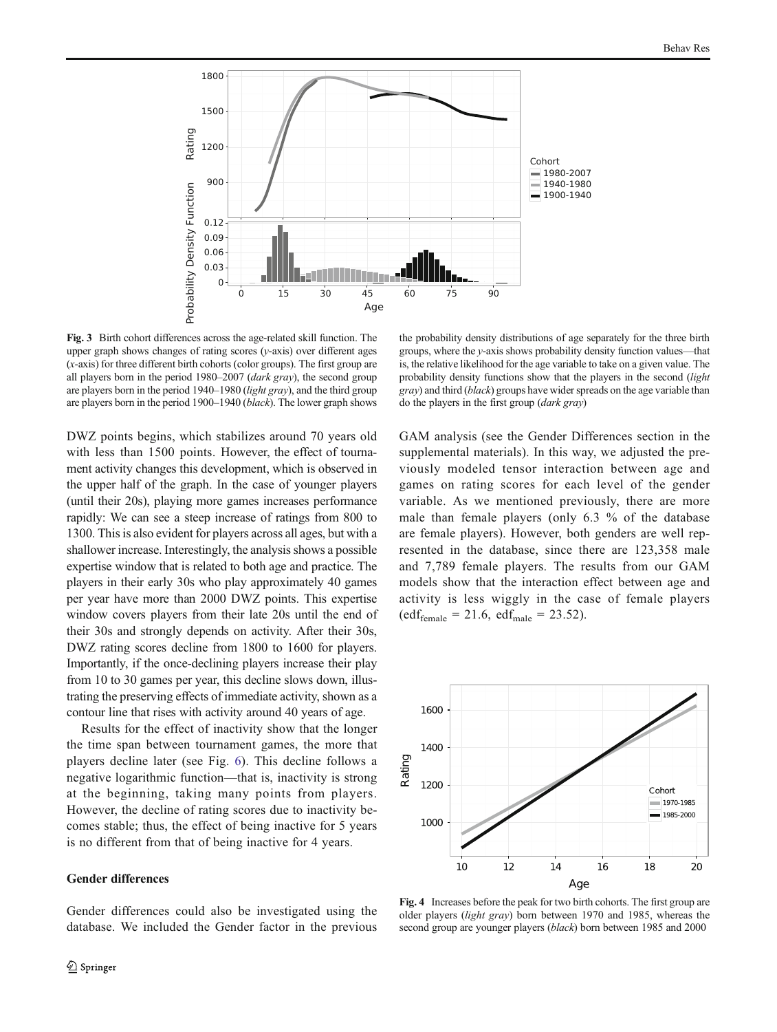<span id="page-7-0"></span>

Fig. 3 Birth cohort differences across the age-related skill function. The upper graph shows changes of rating scores ( $v$ -axis) over different ages (x-axis) for three different birth cohorts (color groups). The first group are all players born in the period 1980–2007 (dark gray), the second group are players born in the period 1940–1980 (light gray), and the third group are players born in the period 1900–1940 (black). The lower graph shows

DWZ points begins, which stabilizes around 70 years old with less than 1500 points. However, the effect of tournament activity changes this development, which is observed in the upper half of the graph. In the case of younger players (until their 20s), playing more games increases performance rapidly: We can see a steep increase of ratings from 800 to 1300. This is also evident for players across all ages, but with a shallower increase. Interestingly, the analysis shows a possible expertise window that is related to both age and practice. The players in their early 30s who play approximately 40 games per year have more than 2000 DWZ points. This expertise window covers players from their late 20s until the end of their 30s and strongly depends on activity. After their 30s, DWZ rating scores decline from 1800 to 1600 for players. Importantly, if the once-declining players increase their play from 10 to 30 games per year, this decline slows down, illustrating the preserving effects of immediate activity, shown as a contour line that rises with activity around 40 years of age.

Results for the effect of inactivity show that the longer the time span between tournament games, the more that players decline later (see Fig. [6](#page-8-0)). This decline follows a negative logarithmic function—that is, inactivity is strong at the beginning, taking many points from players. However, the decline of rating scores due to inactivity becomes stable; thus, the effect of being inactive for 5 years is no different from that of being inactive for 4 years.

## Gender differences

Gender differences could also be investigated using the database. We included the Gender factor in the previous

the probability density distributions of age separately for the three birth groups, where the y-axis shows probability density function values—that is, the relative likelihood for the age variable to take on a given value. The probability density functions show that the players in the second (light gray) and third (black) groups have wider spreads on the age variable than do the players in the first group (dark gray)

GAM analysis (see the Gender Differences section in the supplemental materials). In this way, we adjusted the previously modeled tensor interaction between age and games on rating scores for each level of the gender variable. As we mentioned previously, there are more male than female players (only 6.3 % of the database are female players). However, both genders are well represented in the database, since there are 123,358 male and 7,789 female players. The results from our GAM models show that the interaction effect between age and activity is less wiggly in the case of female players  $\text{(edf}_{\text{female}} = 21.6, \text{ edf}_{\text{male}} = 23.52).$ 



Fig. 4 Increases before the peak for two birth cohorts. The first group are older players (light gray) born between 1970 and 1985, whereas the second group are younger players (black) born between 1985 and 2000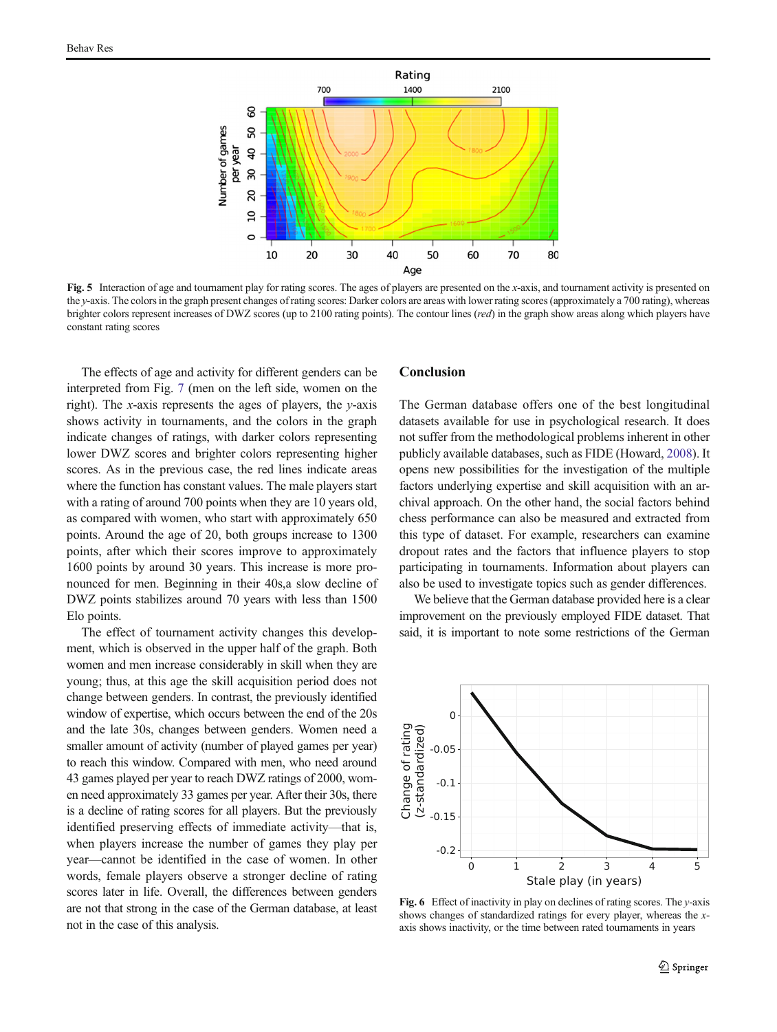<span id="page-8-0"></span>

Fig. 5 Interaction of age and tournament play for rating scores. The ages of players are presented on the x-axis, and tournament activity is presented on the y-axis. The colors in the graph present changes of rating scores: Darker colors are areas with lower rating scores (approximately a 700 rating), whereas brighter colors represent increases of DWZ scores (up to 2100 rating points). The contour lines (red) in the graph show areas along which players have constant rating scores

The effects of age and activity for different genders can be interpreted from Fig. [7](#page-9-0) (men on the left side, women on the right). The x-axis represents the ages of players, the  $y$ -axis shows activity in tournaments, and the colors in the graph indicate changes of ratings, with darker colors representing lower DWZ scores and brighter colors representing higher scores. As in the previous case, the red lines indicate areas where the function has constant values. The male players start with a rating of around 700 points when they are 10 years old, as compared with women, who start with approximately 650 points. Around the age of 20, both groups increase to 1300 points, after which their scores improve to approximately 1600 points by around 30 years. This increase is more pronounced for men. Beginning in their 40s,a slow decline of DWZ points stabilizes around 70 years with less than 1500 Elo points.

The effect of tournament activity changes this development, which is observed in the upper half of the graph. Both women and men increase considerably in skill when they are young; thus, at this age the skill acquisition period does not change between genders. In contrast, the previously identified window of expertise, which occurs between the end of the 20s and the late 30s, changes between genders. Women need a smaller amount of activity (number of played games per year) to reach this window. Compared with men, who need around 43 games played per year to reach DWZ ratings of 2000, women need approximately 33 games per year. After their 30s, there is a decline of rating scores for all players. But the previously identified preserving effects of immediate activity—that is, when players increase the number of games they play per year—cannot be identified in the case of women. In other words, female players observe a stronger decline of rating scores later in life. Overall, the differences between genders are not that strong in the case of the German database, at least not in the case of this analysis.

## Conclusion

The German database offers one of the best longitudinal datasets available for use in psychological research. It does not suffer from the methodological problems inherent in other publicly available databases, such as FIDE (Howard, [2008\)](#page-12-0). It opens new possibilities for the investigation of the multiple factors underlying expertise and skill acquisition with an archival approach. On the other hand, the social factors behind chess performance can also be measured and extracted from this type of dataset. For example, researchers can examine dropout rates and the factors that influence players to stop participating in tournaments. Information about players can also be used to investigate topics such as gender differences.

We believe that the German database provided here is a clear improvement on the previously employed FIDE dataset. That said, it is important to note some restrictions of the German



Fig. 6 Effect of inactivity in play on declines of rating scores. The y-axis shows changes of standardized ratings for every player, whereas the xaxis shows inactivity, or the time between rated tournaments in years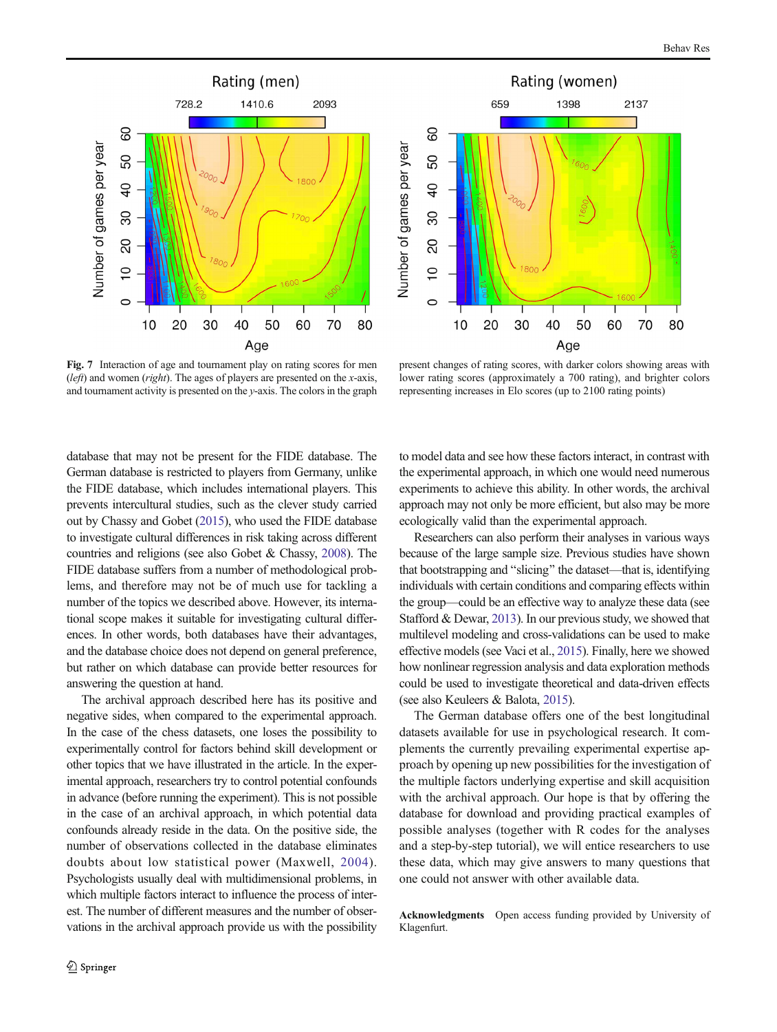<span id="page-9-0"></span>

Rating (women) 659 1398 2137 60 Number of games per year 50  $\overline{40}$ 30 20  $\overline{C}$  $\circ$ 20 30 40 50 60 70 80 10 Age

Fig. 7 Interaction of age and tournament play on rating scores for men  $(left)$  and women (*right*). The ages of players are presented on the *x*-axis, and tournament activity is presented on the y-axis. The colors in the graph

present changes of rating scores, with darker colors showing areas with lower rating scores (approximately a 700 rating), and brighter colors representing increases in Elo scores (up to 2100 rating points)

database that may not be present for the FIDE database. The German database is restricted to players from Germany, unlike the FIDE database, which includes international players. This prevents intercultural studies, such as the clever study carried out by Chassy and Gobet [\(2015](#page-11-0)), who used the FIDE database to investigate cultural differences in risk taking across different countries and religions (see also Gobet & Chassy, [2008\)](#page-12-0). The FIDE database suffers from a number of methodological problems, and therefore may not be of much use for tackling a number of the topics we described above. However, its international scope makes it suitable for investigating cultural differences. In other words, both databases have their advantages, and the database choice does not depend on general preference, but rather on which database can provide better resources for answering the question at hand.

The archival approach described here has its positive and negative sides, when compared to the experimental approach. In the case of the chess datasets, one loses the possibility to experimentally control for factors behind skill development or other topics that we have illustrated in the article. In the experimental approach, researchers try to control potential confounds in advance (before running the experiment). This is not possible in the case of an archival approach, in which potential data confounds already reside in the data. On the positive side, the number of observations collected in the database eliminates doubts about low statistical power (Maxwell, [2004\)](#page-12-0). Psychologists usually deal with multidimensional problems, in which multiple factors interact to influence the process of interest. The number of different measures and the number of observations in the archival approach provide us with the possibility to model data and see how these factors interact, in contrast with the experimental approach, in which one would need numerous experiments to achieve this ability. In other words, the archival approach may not only be more efficient, but also may be more ecologically valid than the experimental approach.

Researchers can also perform their analyses in various ways because of the large sample size. Previous studies have shown that bootstrapping and "slicing" the dataset—that is, identifying individuals with certain conditions and comparing effects within the group—could be an effective way to analyze these data (see Stafford & Dewar, [2013](#page-13-0)). In our previous study, we showed that multilevel modeling and cross-validations can be used to make effective models (see Vaci et al., [2015](#page-13-0)). Finally, here we showed how nonlinear regression analysis and data exploration methods could be used to investigate theoretical and data-driven effects (see also Keuleers & Balota, [2015\)](#page-12-0).

The German database offers one of the best longitudinal datasets available for use in psychological research. It complements the currently prevailing experimental expertise approach by opening up new possibilities for the investigation of the multiple factors underlying expertise and skill acquisition with the archival approach. Our hope is that by offering the database for download and providing practical examples of possible analyses (together with R codes for the analyses and a step-by-step tutorial), we will entice researchers to use these data, which may give answers to many questions that one could not answer with other available data.

Acknowledgments Open access funding provided by University of Klagenfurt.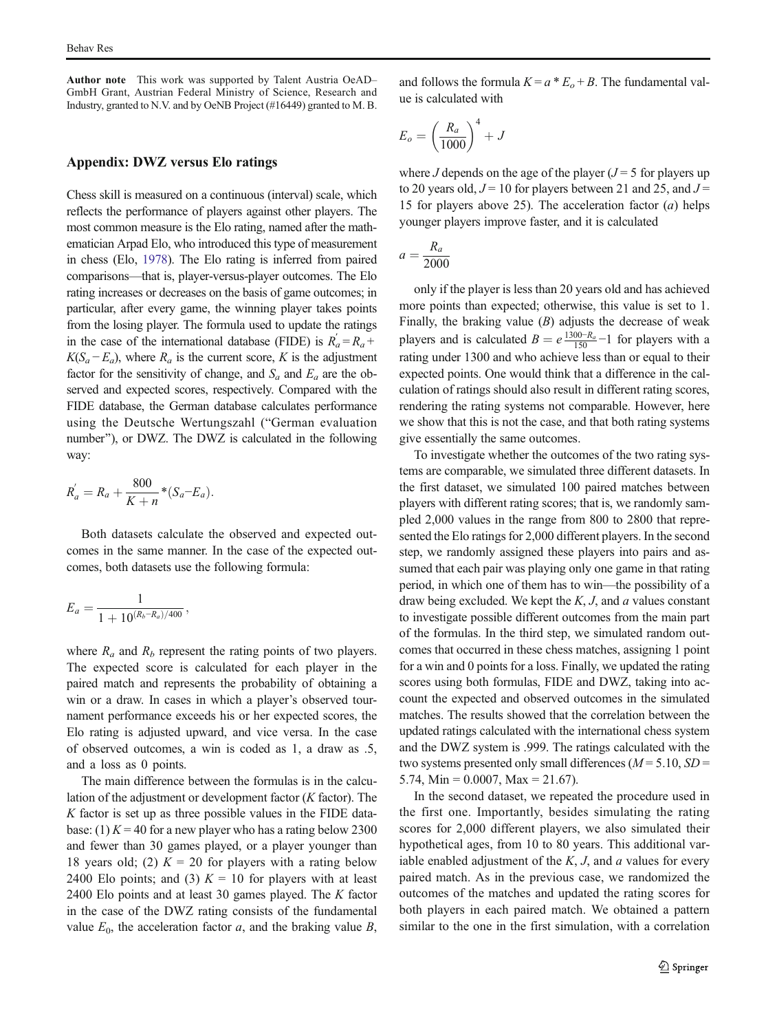<span id="page-10-0"></span>Author note This work was supported by Talent Austria OeAD– GmbH Grant, Austrian Federal Ministry of Science, Research and Industry, granted to N.V. and by OeNB Project (#16449) granted to M. B.

#### Appendix: DWZ versus Elo ratings

Chess skill is measured on a continuous (interval) scale, which reflects the performance of players against other players. The most common measure is the Elo rating, named after the mathematician Arpad Elo, who introduced this type of measurement in chess (Elo, [1978](#page-12-0)). The Elo rating is inferred from paired comparisons—that is, player-versus-player outcomes. The Elo rating increases or decreases on the basis of game outcomes; in particular, after every game, the winning player takes points from the losing player. The formula used to update the ratings in the case of the international database (FIDE) is  $R'_a = R_a +$  $K(S_a - E_a)$ , where  $R_a$  is the current score, K is the adjustment factor for the sensitivity of change, and  $S_a$  and  $E_a$  are the observed and expected scores, respectively. Compared with the FIDE database, the German database calculates performance using the Deutsche Wertungszahl ("German evaluation number"), or DWZ. The DWZ is calculated in the following way:

$$
R_{a}^{'} = R_{a} + \frac{800}{K+n} * (S_{a} - E_{a}).
$$

Both datasets calculate the observed and expected outcomes in the same manner. In the case of the expected outcomes, both datasets use the following formula:

$$
E_a = \frac{1}{1 + 10^{(R_b - R_a)/400}},
$$

where  $R_a$  and  $R_b$  represent the rating points of two players. The expected score is calculated for each player in the paired match and represents the probability of obtaining a win or a draw. In cases in which a player's observed tournament performance exceeds his or her expected scores, the Elo rating is adjusted upward, and vice versa. In the case of observed outcomes, a win is coded as 1, a draw as .5, and a loss as 0 points.

The main difference between the formulas is in the calculation of the adjustment or development factor  $(K$  factor). The K factor is set up as three possible values in the FIDE database: (1)  $K = 40$  for a new player who has a rating below 2300 and fewer than 30 games played, or a player younger than 18 years old; (2)  $K = 20$  for players with a rating below 2400 Elo points; and (3)  $K = 10$  for players with at least 2400 Elo points and at least 30 games played. The  $K$  factor in the case of the DWZ rating consists of the fundamental value  $E_0$ , the acceleration factor  $a$ , and the braking value  $B$ ,

and follows the formula  $K = a * E_0 + B$ . The fundamental value is calculated with

$$
E_o = \left(\frac{R_a}{1000}\right)^4 + J
$$

where J depends on the age of the player ( $J = 5$  for players up to 20 years old,  $J = 10$  for players between 21 and 25, and  $J =$ 15 for players above 25). The acceleration factor  $(a)$  helps younger players improve faster, and it is calculated

$$
a=\frac{R_a}{2000}
$$

only if the player is less than 20 years old and has achieved more points than expected; otherwise, this value is set to 1. Finally, the braking value  $(B)$  adjusts the decrease of weak players and is calculated  $B = e^{\frac{1300 - R_a}{150}} - 1$  for players with a rating under 1300 and who achieve less than or equal to their expected points. One would think that a difference in the calculation of ratings should also result in different rating scores, rendering the rating systems not comparable. However, here we show that this is not the case, and that both rating systems give essentially the same outcomes.

To investigate whether the outcomes of the two rating systems are comparable, we simulated three different datasets. In the first dataset, we simulated 100 paired matches between players with different rating scores; that is, we randomly sampled 2,000 values in the range from 800 to 2800 that represented the Elo ratings for 2,000 different players. In the second step, we randomly assigned these players into pairs and assumed that each pair was playing only one game in that rating period, in which one of them has to win—the possibility of a draw being excluded. We kept the  $K, J$ , and a values constant to investigate possible different outcomes from the main part of the formulas. In the third step, we simulated random outcomes that occurred in these chess matches, assigning 1 point for a win and 0 points for a loss. Finally, we updated the rating scores using both formulas, FIDE and DWZ, taking into account the expected and observed outcomes in the simulated matches. The results showed that the correlation between the updated ratings calculated with the international chess system and the DWZ system is .999. The ratings calculated with the two systems presented only small differences ( $M = 5.10$ ,  $SD =$ 5.74, Min =  $0.0007$ , Max =  $21.67$ ).

In the second dataset, we repeated the procedure used in the first one. Importantly, besides simulating the rating scores for 2,000 different players, we also simulated their hypothetical ages, from 10 to 80 years. This additional variable enabled adjustment of the  $K$ ,  $J$ , and  $a$  values for every paired match. As in the previous case, we randomized the outcomes of the matches and updated the rating scores for both players in each paired match. We obtained a pattern similar to the one in the first simulation, with a correlation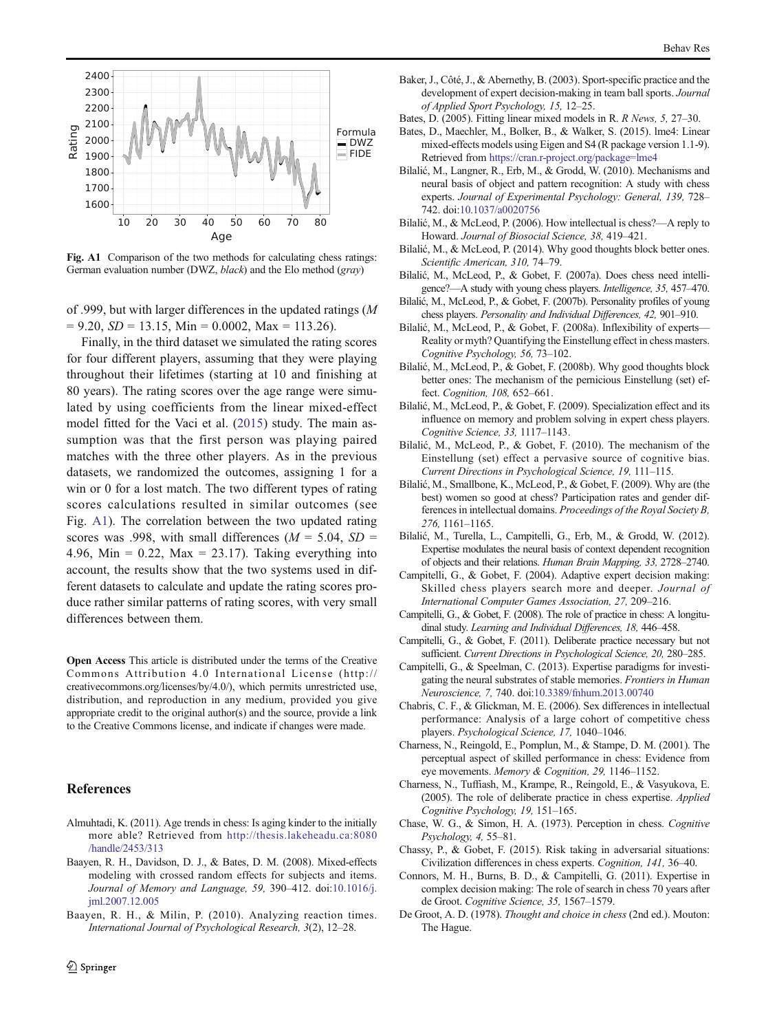<span id="page-11-0"></span>

Fig. A1 Comparison of the two methods for calculating chess ratings: German evaluation number (DWZ, black) and the Elo method (gray)

of .999, but with larger differences in the updated ratings (M  $= 9.20, SD = 13.15, Min = 0.0002, Max = 113.26.$ 

Finally, in the third dataset we simulated the rating scores for four different players, assuming that they were playing throughout their lifetimes (starting at 10 and finishing at 80 years). The rating scores over the age range were simulated by using coefficients from the linear mixed-effect model fitted for the Vaci et al. ([2015\)](#page-13-0) study. The main assumption was that the first person was playing paired matches with the three other players. As in the previous datasets, we randomized the outcomes, assigning 1 for a win or 0 for a lost match. The two different types of rating scores calculations resulted in similar outcomes (see Fig. A1). The correlation between the two updated rating scores was .998, with small differences ( $M = 5.04$ ,  $SD =$ 4.96, Min =  $0.22$ , Max =  $23.17$ ). Taking everything into account, the results show that the two systems used in different datasets to calculate and update the rating scores produce rather similar patterns of rating scores, with very small differences between them.

Open Access This article is distributed under the terms of the Creative Commons Attribution 4.0 International License (http:// creativecommons.org/licenses/by/4.0/), which permits unrestricted use, distribution, and reproduction in any medium, provided you give appropriate credit to the original author(s) and the source, provide a link to the Creative Commons license, and indicate if changes were made.

#### **References**

- Almuhtadi, K. (2011). Age trends in chess: Is aging kinder to the initially more able? Retrieved from [http://thesis.lakeheadu.ca:8080](http://thesis.lakeheadu.ca:8080/handle/2453/313) [/handle/2453/313](http://thesis.lakeheadu.ca:8080/handle/2453/313)
- Baayen, R. H., Davidson, D. J., & Bates, D. M. (2008). Mixed-effects modeling with crossed random effects for subjects and items. Journal of Memory and Language, 59, 390–412. doi:[10.1016/j.](http://dx.doi.org/10.1016/j.jml.2007.12.005) [jml.2007.12.005](http://dx.doi.org/10.1016/j.jml.2007.12.005)
- Baayen, R. H., & Milin, P. (2010). Analyzing reaction times. International Journal of Psychological Research, 3(2), 12–28.
- Baker, J., Côté, J., & Abernethy, B. (2003). Sport-specific practice and the development of expert decision-making in team ball sports. Journal of Applied Sport Psychology, 15, 12–25.
- Bates, D. (2005). Fitting linear mixed models in R. R News, 5, 27–30.
- Bates, D., Maechler, M., Bolker, B., & Walker, S. (2015). lme4: Linear mixed-effects models using Eigen and S4 (R package version 1.1-9). Retrieved from <https://cran.r-project.org/package=lme4>
- Bilalić, M., Langner, R., Erb, M., & Grodd, W. (2010). Mechanisms and neural basis of object and pattern recognition: A study with chess experts. Journal of Experimental Psychology: General, 139, 728– 742. doi[:10.1037/a0020756](http://dx.doi.org/10.1037/a0020756)
- Bilalić, M., & McLeod, P. (2006). How intellectual is chess?—A reply to Howard. Journal of Biosocial Science, 38, 419–421.
- Bilalić, M., & McLeod, P. (2014). Why good thoughts block better ones. Scientific American, 310, 74–79.
- Bilalić, M., McLeod, P., & Gobet, F. (2007a). Does chess need intelligence?—A study with young chess players. Intelligence, 35, 457–470.
- Bilalić, M., McLeod, P., & Gobet, F. (2007b). Personality profiles of young chess players. Personality and Individual Differences, 42, 901–910.
- Bilalić, M., McLeod, P., & Gobet, F. (2008a). Inflexibility of experts— Reality or myth? Quantifying the Einstellung effect in chess masters. Cognitive Psychology, 56, 73–102.
- Bilalić, M., McLeod, P., & Gobet, F. (2008b). Why good thoughts block better ones: The mechanism of the pernicious Einstellung (set) effect. Cognition, 108, 652–661.
- Bilalić, M., McLeod, P., & Gobet, F. (2009). Specialization effect and its influence on memory and problem solving in expert chess players. Cognitive Science, 33, 1117–1143.
- Bilalić, M., McLeod, P., & Gobet, F. (2010). The mechanism of the Einstellung (set) effect a pervasive source of cognitive bias. Current Directions in Psychological Science, 19, 111–115.
- Bilalić, M., Smallbone, K., McLeod, P., & Gobet, F. (2009). Why are (the best) women so good at chess? Participation rates and gender differences in intellectual domains. Proceedings of the Royal Society B, 276, 1161–1165.
- Bilalić, M., Turella, L., Campitelli, G., Erb, M., & Grodd, W. (2012). Expertise modulates the neural basis of context dependent recognition of objects and their relations. Human Brain Mapping, 33, 2728–2740.
- Campitelli, G., & Gobet, F. (2004). Adaptive expert decision making: Skilled chess players search more and deeper. Journal of International Computer Games Association, 27, 209–216.
- Campitelli, G., & Gobet, F. (2008). The role of practice in chess: A longitudinal study. Learning and Individual Differences, 18, 446–458.
- Campitelli, G., & Gobet, F. (2011). Deliberate practice necessary but not sufficient. Current Directions in Psychological Science, 20, 280-285.
- Campitelli, G., & Speelman, C. (2013). Expertise paradigms for investigating the neural substrates of stable memories. Frontiers in Human Neuroscience, 7, 740. doi[:10.3389/fnhum.2013.00740](http://dx.doi.org/10.3389/fnhum.2013.00740)
- Chabris, C. F., & Glickman, M. E. (2006). Sex differences in intellectual performance: Analysis of a large cohort of competitive chess players. Psychological Science, 17, 1040–1046.
- Charness, N., Reingold, E., Pomplun, M., & Stampe, D. M. (2001). The perceptual aspect of skilled performance in chess: Evidence from eye movements. Memory & Cognition, 29, 1146–1152.
- Charness, N., Tuffiash, M., Krampe, R., Reingold, E., & Vasyukova, E. (2005). The role of deliberate practice in chess expertise. Applied Cognitive Psychology, 19, 151–165.
- Chase, W. G., & Simon, H. A. (1973). Perception in chess. Cognitive Psychology, 4, 55–81.
- Chassy, P., & Gobet, F. (2015). Risk taking in adversarial situations: Civilization differences in chess experts. Cognition, 141, 36–40.
- Connors, M. H., Burns, B. D., & Campitelli, G. (2011). Expertise in complex decision making: The role of search in chess 70 years after de Groot. Cognitive Science, 35, 1567–1579.
- De Groot, A. D. (1978). Thought and choice in chess (2nd ed.). Mouton: The Hague.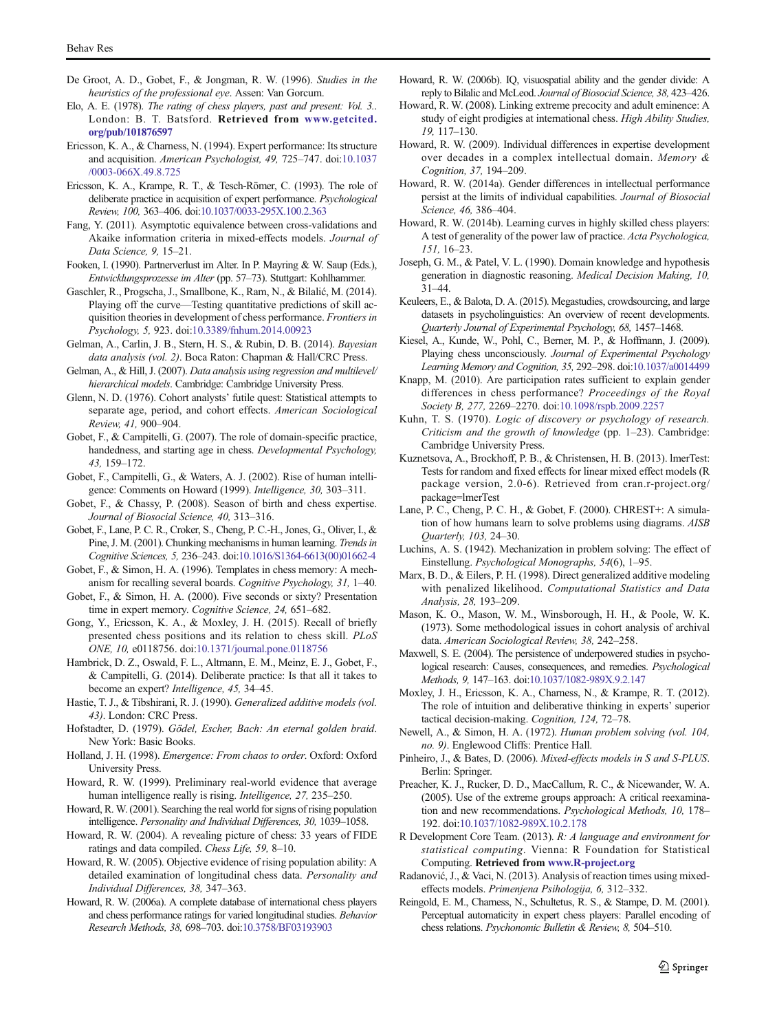- <span id="page-12-0"></span>De Groot, A. D., Gobet, F., & Jongman, R. W. (1996). Studies in the heuristics of the professional eye. Assen: Van Gorcum.
- Elo, A. E. (1978). The rating of chess players, past and present: Vol. 3.. London: B. T. Batsford. Retrieved from [www.getcited.](http://www.getcited.org/pub/101876597) [org/pub/101876597](http://www.getcited.org/pub/101876597)
- Ericsson, K. A., & Charness, N. (1994). Expert performance: Its structure and acquisition. American Psychologist, 49, 725–747. doi[:10.1037](http://dx.doi.org/10.1037/0003-066X.49.8.725) [/0003-066X.49.8.725](http://dx.doi.org/10.1037/0003-066X.49.8.725)
- Ericsson, K. A., Krampe, R. T., & Tesch-Römer, C. (1993). The role of deliberate practice in acquisition of expert performance. Psychological Review, 100, 363–406. doi[:10.1037/0033-295X.100.2.363](http://dx.doi.org/10.1037/0033-295X.100.2.363)
- Fang, Y. (2011). Asymptotic equivalence between cross-validations and Akaike information criteria in mixed-effects models. Journal of Data Science, 9, 15–21.
- Fooken, I. (1990). Partnerverlust im Alter. In P. Mayring & W. Saup (Eds.), Entwicklungsprozesse im Alter (pp. 57–73). Stuttgart: Kohlhammer.
- Gaschler, R., Progscha, J., Smallbone, K., Ram, N., & Bilalić, M. (2014). Playing off the curve—Testing quantitative predictions of skill acquisition theories in development of chess performance. Frontiers in Psychology, 5, 923. doi[:10.3389/fnhum.2014.00923](http://dx.doi.org/10.3389/fnhum.2014.00923)
- Gelman, A., Carlin, J. B., Stern, H. S., & Rubin, D. B. (2014). Bayesian data analysis (vol. 2). Boca Raton: Chapman & Hall/CRC Press.
- Gelman, A., & Hill, J. (2007). Data analysis using regression and multilevel/ hierarchical models. Cambridge: Cambridge University Press.
- Glenn, N. D. (1976). Cohort analysts' futile quest: Statistical attempts to separate age, period, and cohort effects. American Sociological Review, 41, 900–904.
- Gobet, F., & Campitelli, G. (2007). The role of domain-specific practice, handedness, and starting age in chess. Developmental Psychology, 43, 159–172.
- Gobet, F., Campitelli, G., & Waters, A. J. (2002). Rise of human intelligence: Comments on Howard (1999). Intelligence, 30, 303–311.
- Gobet, F., & Chassy, P. (2008). Season of birth and chess expertise. Journal of Biosocial Science, 40, 313–316.
- Gobet, F., Lane, P. C. R., Croker, S., Cheng, P. C.-H., Jones, G., Oliver, I., & Pine, J. M. (2001). Chunking mechanisms in human learning. Trends in Cognitive Sciences, 5, 236–243. doi[:10.1016/S1364-6613\(00\)01662-4](http://dx.doi.org/10.1016/S1364-6613(00)01662-4)
- Gobet, F., & Simon, H. A. (1996). Templates in chess memory: A mechanism for recalling several boards. Cognitive Psychology, 31, 1–40.
- Gobet, F., & Simon, H. A. (2000). Five seconds or sixty? Presentation time in expert memory. Cognitive Science, 24, 651-682.
- Gong, Y., Ericsson, K. A., & Moxley, J. H. (2015). Recall of briefly presented chess positions and its relation to chess skill. PLoS ONE, 10, e0118756. doi:[10.1371/journal.pone.0118756](http://dx.doi.org/10.1371/journal.pone.0118756)
- Hambrick, D. Z., Oswald, F. L., Altmann, E. M., Meinz, E. J., Gobet, F., & Campitelli, G. (2014). Deliberate practice: Is that all it takes to become an expert? Intelligence, 45, 34–45.
- Hastie, T. J., & Tibshirani, R. J. (1990). Generalized additive models (vol. 43). London: CRC Press.
- Hofstadter, D. (1979). Gödel, Escher, Bach: An eternal golden braid. New York: Basic Books.
- Holland, J. H. (1998). Emergence: From chaos to order. Oxford: Oxford University Press.
- Howard, R. W. (1999). Preliminary real-world evidence that average human intelligence really is rising. Intelligence, 27, 235–250.
- Howard, R. W. (2001). Searching the real world for signs of rising population intelligence. Personality and Individual Differences, 30, 1039–1058.
- Howard, R. W. (2004). A revealing picture of chess: 33 years of FIDE ratings and data compiled. Chess Life, 59, 8–10.
- Howard, R. W. (2005). Objective evidence of rising population ability: A detailed examination of longitudinal chess data. Personality and Individual Differences, 38, 347–363.
- Howard, R. W. (2006a). A complete database of international chess players and chess performance ratings for varied longitudinal studies. Behavior Research Methods, 38, 698–703. doi[:10.3758/BF03193903](http://dx.doi.org/10.3758/BF03193903)
- Howard, R. W. (2006b). IQ, visuospatial ability and the gender divide: A reply to Bilalic and McLeod. Journal of Biosocial Science, 38, 423–426.
- Howard, R. W. (2008). Linking extreme precocity and adult eminence: A study of eight prodigies at international chess. High Ability Studies, 19, 117–130.
- Howard, R. W. (2009). Individual differences in expertise development over decades in a complex intellectual domain. Memory & Cognition, 37, 194–209.
- Howard, R. W. (2014a). Gender differences in intellectual performance persist at the limits of individual capabilities. Journal of Biosocial Science, 46, 386–404.
- Howard, R. W. (2014b). Learning curves in highly skilled chess players: A test of generality of the power law of practice. Acta Psychologica, 151, 16–23.
- Joseph, G. M., & Patel, V. L. (1990). Domain knowledge and hypothesis generation in diagnostic reasoning. Medical Decision Making, 10, 31–44.
- Keuleers, E., & Balota, D. A. (2015). Megastudies, crowdsourcing, and large datasets in psycholinguistics: An overview of recent developments. Quarterly Journal of Experimental Psychology, 68, 1457–1468.
- Kiesel, A., Kunde, W., Pohl, C., Berner, M. P., & Hoffmann, J. (2009). Playing chess unconsciously. Journal of Experimental Psychology Learning Memory and Cognition, 35, 292–298. doi[:10.1037/a0014499](http://dx.doi.org/10.1037/a0014499)
- Knapp, M. (2010). Are participation rates sufficient to explain gender differences in chess performance? Proceedings of the Royal Society B, 277, 2269–2270. doi[:10.1098/rspb.2009.2257](http://dx.doi.org/10.1098/rspb.2009.2257)
- Kuhn, T. S. (1970). Logic of discovery or psychology of research. Criticism and the growth of knowledge (pp. 1–23). Cambridge: Cambridge University Press.
- Kuznetsova, A., Brockhoff, P. B., & Christensen, H. B. (2013). lmerTest: Tests for random and fixed effects for linear mixed effect models (R package version, 2.0-6). Retrieved from cran.r-project.org/ package=lmerTest
- Lane, P. C., Cheng, P. C. H., & Gobet, F. (2000). CHREST+: A simulation of how humans learn to solve problems using diagrams. AISB Quarterly, 103, 24–30.
- Luchins, A. S. (1942). Mechanization in problem solving: The effect of Einstellung. Psychological Monographs, 54(6), 1–95.
- Marx, B. D., & Eilers, P. H. (1998). Direct generalized additive modeling with penalized likelihood. Computational Statistics and Data Analysis, 28, 193–209.
- Mason, K. O., Mason, W. M., Winsborough, H. H., & Poole, W. K. (1973). Some methodological issues in cohort analysis of archival data. American Sociological Review, 38, 242–258.
- Maxwell, S. E. (2004). The persistence of underpowered studies in psychological research: Causes, consequences, and remedies. Psychological Methods, 9, 147–163. doi[:10.1037/1082-989X.9.2.147](http://dx.doi.org/10.1037/1082-989X.9.2.147)
- Moxley, J. H., Ericsson, K. A., Charness, N., & Krampe, R. T. (2012). The role of intuition and deliberative thinking in experts' superior tactical decision-making. Cognition, 124, 72–78.
- Newell, A., & Simon, H. A. (1972). Human problem solving (vol. 104, no. 9). Englewood Cliffs: Prentice Hall.
- Pinheiro, J., & Bates, D. (2006). Mixed-effects models in S and S-PLUS. Berlin: Springer.
- Preacher, K. J., Rucker, D. D., MacCallum, R. C., & Nicewander, W. A. (2005). Use of the extreme groups approach: A critical reexamination and new recommendations. Psychological Methods, 10, 178– 192. doi[:10.1037/1082-989X.10.2.178](http://dx.doi.org/10.1037/1082-989X.10.2.178)
- R Development Core Team. (2013). R: A language and environment for statistical computing. Vienna: R Foundation for Statistical Computing. Retrieved from [www.R-project.org](http://www.r-project.org/)
- Radanović, J., & Vaci, N. (2013). Analysis of reaction times using mixedeffects models. Primenjena Psihologija, 6, 312–332.
- Reingold, E. M., Charness, N., Schultetus, R. S., & Stampe, D. M. (2001). Perceptual automaticity in expert chess players: Parallel encoding of chess relations. Psychonomic Bulletin & Review, 8, 504–510.